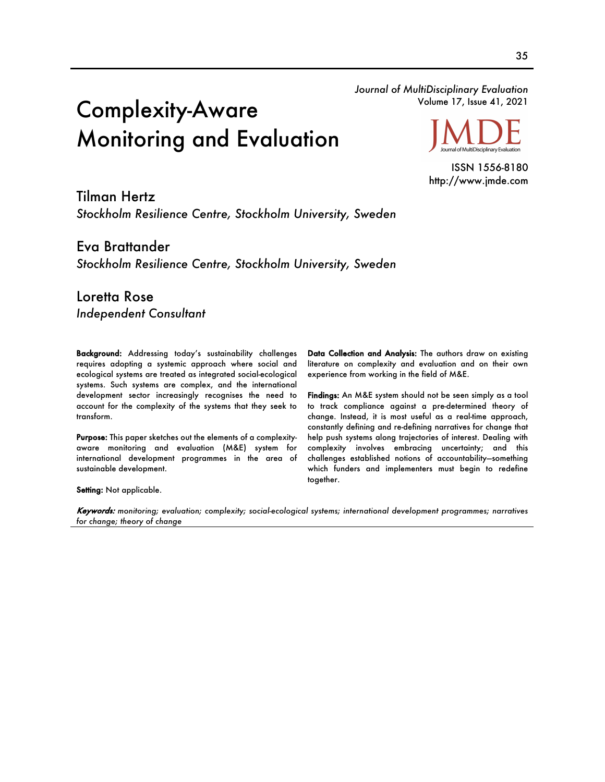*Journal of MultiDisciplinary Evaluation* Volume 17, Issue 41, 2021

# Complexity-Aware Monitoring and Evaluation

Journal of MultiDisciplinary Evaluation

ISSN 1556-8180 http://www.jmde.com

Tilman Hertz *Stockholm Resilience Centre, Stockholm University, Sweden*

Eva Brattander *Stockholm Resilience Centre, Stockholm University, Sweden*

Loretta Rose *Independent Consultant*

Background: Addressing today's sustainability challenges requires adopting a systemic approach where social and ecological systems are treated as integrated social-ecological systems. Such systems are complex, and the international development sector increasingly recognises the need to account for the complexity of the systems that they seek to transform.

Purpose: This paper sketches out the elements of a complexityaware monitoring and evaluation (M&E) system for international development programmes in the area of sustainable development.

Data Collection and Analysis: The authors draw on existing literature on complexity and evaluation and on their own experience from working in the field of M&E.

Findings: An M&E system should not be seen simply as a tool to track compliance against a pre-determined theory of change. Instead, it is most useful as a real-time approach, constantly defining and re-defining narratives for change that help push systems along trajectories of interest. Dealing with complexity involves embracing uncertainty; and this challenges established notions of accountability—something which funders and implementers must begin to redefine together.

Setting: Not applicable.

Keywords: *monitoring; evaluation; complexity; social-ecological systems; international development programmes; narratives for change; theory of change*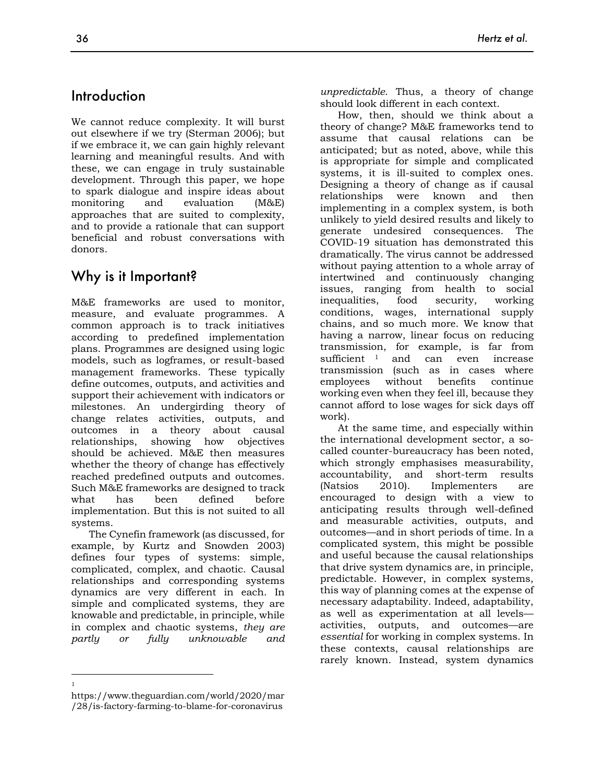# Introduction

We cannot reduce complexity. It will burst out elsewhere if we try (Sterman 2006); but if we embrace it, we can gain highly relevant learning and meaningful results. And with these, we can engage in truly sustainable development. Through this paper, we hope to spark dialogue and inspire ideas about monitoring and evaluation (M&E) approaches that are suited to complexity, and to provide a rationale that can support beneficial and robust conversations with donors.

# Why is it Important?

M&E frameworks are used to monitor, measure, and evaluate programmes. A common approach is to track initiatives according to predefined implementation plans. Programmes are designed using logic models, such as logframes, or result-based management frameworks. These typically define outcomes, outputs, and activities and support their achievement with indicators or milestones. An undergirding theory of change relates activities, outputs, and outcomes in a theory about causal relationships, showing how objectives should be achieved. M&E then measures whether the theory of change has effectively reached predefined outputs and outcomes. Such M&E frameworks are designed to track what has been defined before implementation. But this is not suited to all systems.

The Cynefin framework (as discussed, for example, by Kurtz and Snowden 2003) defines four types of systems: simple, complicated, complex, and chaotic. Causal relationships and corresponding systems dynamics are very different in each. In simple and complicated systems, they are knowable and predictable, in principle, while in complex and chaotic systems, *they are partly or fully unknowable and* 

1

should look different in each context. How, then, should we think about a theory of change? M&E frameworks tend to assume that causal relations can be anticipated; but as noted, above, while this is appropriate for simple and complicated systems, it is ill-suited to complex ones. Designing a theory of change as if causal relationships were known and then implementing in a complex system, is both unlikely to yield desired results and likely to generate undesired consequences. The COVID-19 situation has demonstrated this dramatically. The virus cannot be addressed without paying attention to a whole array of intertwined and continuously changing issues, ranging from health to social inequalities, food security, working conditions, wages, international supply chains, and so much more. We know that having a narrow, linear focus on reducing transmission, for example, is far from sufficient <sup>1</sup> and can even increase transmission (such as in cases where employees without benefits continue working even when they feel ill, because they cannot afford to lose wages for sick days off work).

At the same time, and especially within the international development sector, a socalled counter-bureaucracy has been noted, which strongly emphasises measurability, accountability, and short-term results (Natsios 2010). Implementers are encouraged to design with a view to anticipating results through well-defined and measurable activities, outputs, and outcomes—and in short periods of time. In a complicated system, this might be possible and useful because the causal relationships that drive system dynamics are, in principle, predictable. However, in complex systems, this way of planning comes at the expense of necessary adaptability. Indeed, adaptability, as well as experimentation at all levels activities, outputs, and outcomes—are *essential* for working in complex systems. In these contexts, causal relationships are rarely known. Instead, system dynamics

https://www.theguardian.com/world/2020/mar /28/is-factory-farming-to-blame-for-coronavirus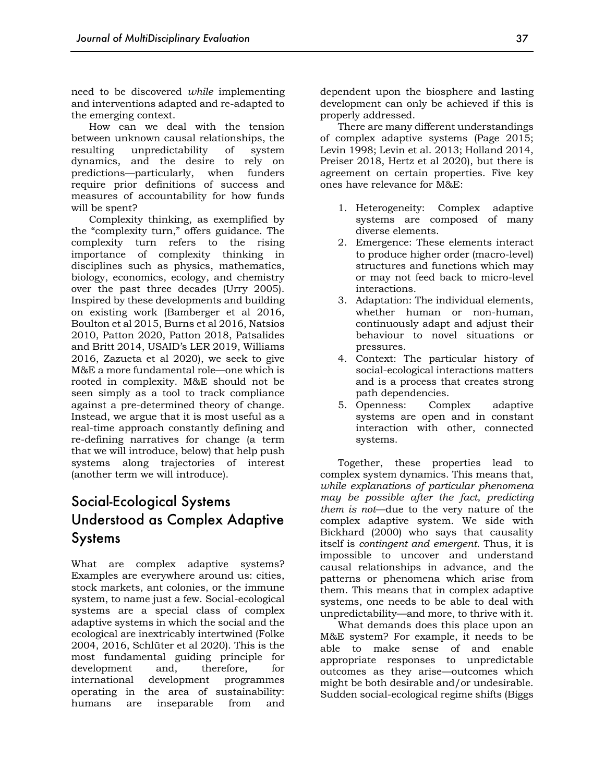need to be discovered *while* implementing and interventions adapted and re-adapted to the emerging context.

How can we deal with the tension between unknown causal relationships, the resulting unpredictability of system dynamics, and the desire to rely on predictions—particularly, when funders require prior definitions of success and measures of accountability for how funds will be spent?

Complexity thinking, as exemplified by the "complexity turn," offers guidance. The complexity turn refers to the rising importance of complexity thinking in disciplines such as physics, mathematics, biology, economics, ecology, and chemistry over the past three decades (Urry 2005). Inspired by these developments and building on existing work (Bamberger et al 2016, Boulton et al 2015, Burns et al 2016, Natsios 2010, Patton 2020, Patton 2018, Patsalides and Britt 2014, USAID's LER 2019, Williams 2016, Zazueta et al 2020), we seek to give M&E a more fundamental role—one which is rooted in complexity. M&E should not be seen simply as a tool to track compliance against a pre-determined theory of change. Instead, we argue that it is most useful as a real-time approach constantly defining and re-defining narratives for change (a term that we will introduce, below) that help push systems along trajectories of interest (another term we will introduce).

# Social-Ecological Systems Understood as Complex Adaptive Systems

What are complex adaptive systems? Examples are everywhere around us: cities, stock markets, ant colonies, or the immune system, to name just a few. Social-ecological systems are a special class of complex adaptive systems in which the social and the ecological are inextricably intertwined (Folke 2004, 2016, Schlüter et al 2020). This is the most fundamental guiding principle for development and, therefore, for international development programmes operating in the area of sustainability: humans are inseparable from and dependent upon the biosphere and lasting development can only be achieved if this is properly addressed.

There are many different understandings of complex adaptive systems (Page 2015; Levin 1998; Levin et al. 2013; Holland 2014, Preiser 2018, Hertz et al 2020), but there is agreement on certain properties. Five key ones have relevance for M&E:

- 1. Heterogeneity: Complex adaptive systems are composed of many diverse elements.
- 2. Emergence: These elements interact to produce higher order (macro-level) structures and functions which may or may not feed back to micro-level interactions.
- 3. Adaptation: The individual elements, whether human or non-human, continuously adapt and adjust their behaviour to novel situations or pressures.
- 4. Context: The particular history of social-ecological interactions matters and is a process that creates strong path dependencies.
- 5. Openness: Complex adaptive systems are open and in constant interaction with other, connected systems.

Together, these properties lead to complex system dynamics. This means that, *while explanations of particular phenomena may be possible after the fact, predicting them is not*—due to the very nature of the complex adaptive system. We side with Bickhard (2000) who says that causality itself is *contingent and emergent*. Thus, it is impossible to uncover and understand causal relationships in advance, and the patterns or phenomena which arise from them. This means that in complex adaptive systems, one needs to be able to deal with unpredictability—and more, to thrive with it.

What demands does this place upon an M&E system? For example, it needs to be able to make sense of and enable appropriate responses to unpredictable outcomes as they arise—outcomes which might be both desirable and/or undesirable. Sudden social-ecological regime shifts (Biggs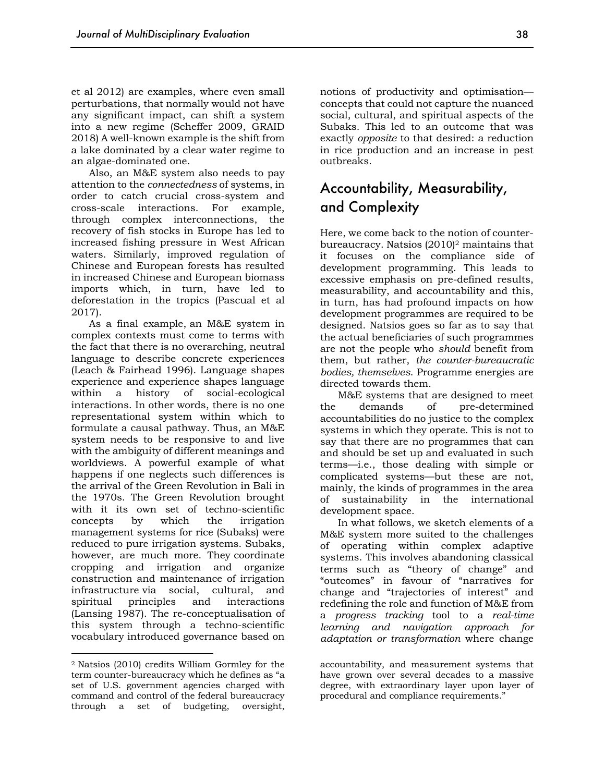et al 2012) are examples, where even small perturbations, that normally would not have any significant impact, can shift a system into a new regime (Scheffer 2009, GRAID 2018) A well-known example is the shift from a lake dominated by a clear water regime to an algae-dominated one.

Also, an M&E system also needs to pay attention to the *connectedness* of systems, in order to catch crucial cross-system and cross-scale interactions. For example, through complex interconnections, the recovery of fish stocks in Europe has led to increased fishing pressure in West African waters. Similarly, improved regulation of Chinese and European forests has resulted in increased Chinese and European biomass imports which, in turn, have led to deforestation in the tropics (Pascual et al 2017).

As a final example, an M&E system in complex contexts must come to terms with the fact that there is no overarching, neutral language to describe concrete experiences (Leach & Fairhead 1996). Language shapes experience and experience shapes language within a history of social-ecological interactions. In other words, there is no one representational system within which to formulate a causal pathway. Thus, an M&E system needs to be responsive to and live with the ambiguity of different meanings and worldviews. A powerful example of what happens if one neglects such differences is the arrival of the Green Revolution in Bali in the 1970s. The Green Revolution brought with it its own set of techno-scientific concepts by which the irrigation management systems for rice (Subaks) were reduced to pure irrigation systems. Subaks, however, are much more. They coordinate cropping and irrigation and organize construction and maintenance of irrigation infrastructure via social, cultural, and spiritual principles and interactions (Lansing 1987). The re-conceptualisation of this system through a techno-scientific vocabulary introduced governance based on

notions of productivity and optimisation concepts that could not capture the nuanced social, cultural, and spiritual aspects of the Subaks. This led to an outcome that was exactly *opposite* to that desired: a reduction in rice production and an increase in pest outbreaks.

# Accountability, Measurability, and Complexity

Here, we come back to the notion of counterbureaucracy. Natsios (2010)2 maintains that it focuses on the compliance side of development programming. This leads to excessive emphasis on pre-defined results, measurability, and accountability and this, in turn, has had profound impacts on how development programmes are required to be designed. Natsios goes so far as to say that the actual beneficiaries of such programmes are not the people who *should* benefit from them, but rather, *the counter-bureaucratic bodies, themselves*. Programme energies are directed towards them.

M&E systems that are designed to meet the demands of pre-determined accountabilities do no justice to the complex systems in which they operate. This is not to say that there are no programmes that can and should be set up and evaluated in such terms—i.e., those dealing with simple or complicated systems—but these are not, mainly, the kinds of programmes in the area of sustainability in the international development space.

In what follows, we sketch elements of a M&E system more suited to the challenges of operating within complex adaptive systems. This involves abandoning classical terms such as "theory of change" and "outcomes" in favour of "narratives for change and "trajectories of interest" and redefining the role and function of M&E from a *progress tracking* tool to a *real-time learning and navigation approach for adaptation or transformation* where change

<sup>2</sup> Natsios (2010) credits William Gormley for the term counter-bureaucracy which he defines as "a set of U.S. government agencies charged with command and control of the federal bureaucracy through a set of budgeting, oversight,

accountability, and measurement systems that have grown over several decades to a massive degree, with extraordinary layer upon layer of procedural and compliance requirements."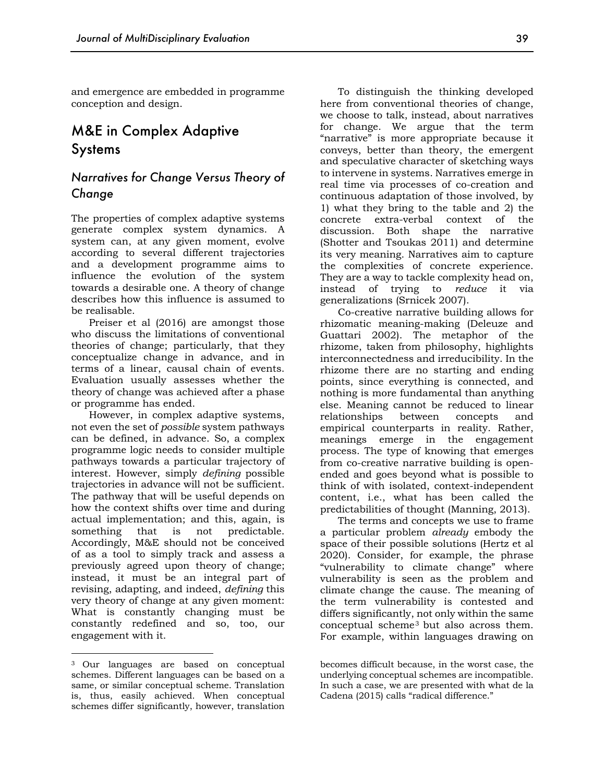and emergence are embedded in programme conception and design.

# M&E in Complex Adaptive Systems

#### *Narratives for Change Versus Theory of Change*

The properties of complex adaptive systems generate complex system dynamics. A system can, at any given moment, evolve according to several different trajectories and a development programme aims to influence the evolution of the system towards a desirable one. A theory of change describes how this influence is assumed to be realisable.

Preiser et al (2016) are amongst those who discuss the limitations of conventional theories of change; particularly, that they conceptualize change in advance, and in terms of a linear, causal chain of events. Evaluation usually assesses whether the theory of change was achieved after a phase or programme has ended.

However, in complex adaptive systems, not even the set of *possible* system pathways can be defined, in advance. So, a complex programme logic needs to consider multiple pathways towards a particular trajectory of interest. However, simply *defining* possible trajectories in advance will not be sufficient. The pathway that will be useful depends on how the context shifts over time and during actual implementation; and this, again, is something that is not predictable. Accordingly, M&E should not be conceived of as a tool to simply track and assess a previously agreed upon theory of change; instead, it must be an integral part of revising, adapting, and indeed, *defining* this very theory of change at any given moment: What is constantly changing must be constantly redefined and so, too, our engagement with it.

To distinguish the thinking developed here from conventional theories of change, we choose to talk, instead, about narratives for change. We argue that the term "narrative" is more appropriate because it conveys, better than theory, the emergent and speculative character of sketching ways to intervene in systems. Narratives emerge in real time via processes of co-creation and continuous adaptation of those involved, by 1) what they bring to the table and 2) the concrete extra-verbal context of the discussion. Both shape the narrative (Shotter and Tsoukas 2011) and determine its very meaning. Narratives aim to capture the complexities of concrete experience. They are a way to tackle complexity head on, instead of trying to *reduce* it via generalizations (Srnicek 2007).

Co-creative narrative building allows for rhizomatic meaning-making (Deleuze and Guattari 2002). The metaphor of the rhizome, taken from philosophy, highlights interconnectedness and irreducibility. In the rhizome there are no starting and ending points, since everything is connected, and nothing is more fundamental than anything else. Meaning cannot be reduced to linear relationships between concepts and empirical counterparts in reality. Rather, meanings emerge in the engagement process. The type of knowing that emerges from co-creative narrative building is openended and goes beyond what is possible to think of with isolated, context-independent content, i.e., what has been called the predictabilities of thought (Manning, 2013).

The terms and concepts we use to frame a particular problem *already* embody the space of their possible solutions (Hertz et al 2020). Consider, for example, the phrase "vulnerability to climate change" where vulnerability is seen as the problem and climate change the cause. The meaning of the term vulnerability is contested and differs significantly, not only within the same conceptual scheme3 but also across them. For example, within languages drawing on

<sup>3</sup> Our languages are based on conceptual schemes. Different languages can be based on a same, or similar conceptual scheme. Translation is, thus, easily achieved. When conceptual schemes differ significantly, however, translation

becomes difficult because, in the worst case, the underlying conceptual schemes are incompatible. In such a case, we are presented with what de la Cadena (2015) calls "radical difference."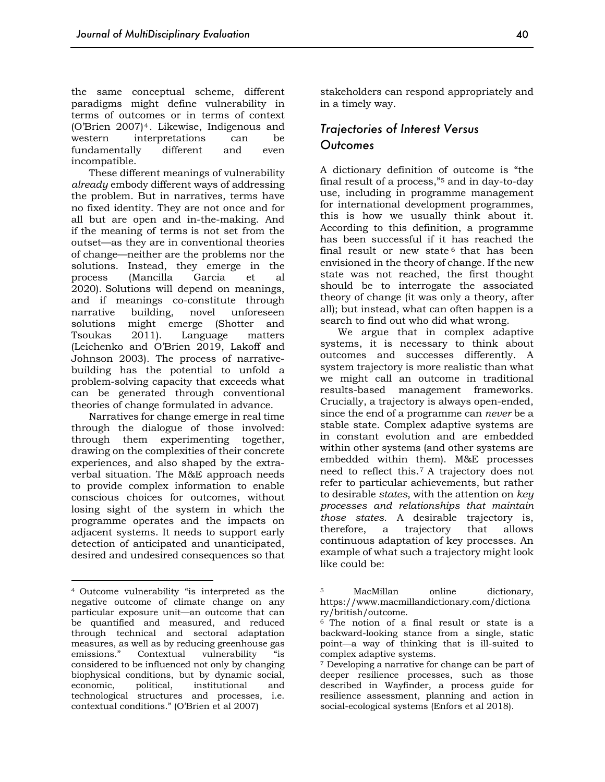the same conceptual scheme, different paradigms might define vulnerability in terms of outcomes or in terms of context (O'Brien 2007)4. Likewise, Indigenous and western interpretations can be fundamentally different and even incompatible.

These different meanings of vulnerability *already* embody different ways of addressing the problem. But in narratives, terms have no fixed identity. They are not once and for all but are open and in-the-making. And if the meaning of terms is not set from the outset—as they are in conventional theories of change—neither are the problems nor the solutions. Instead, they emerge in the process (Mancilla Garcia et al 2020). Solutions will depend on meanings, and if meanings co-constitute through narrative building, novel unforeseen solutions might emerge (Shotter and Tsoukas 2011). Language matters (Leichenko and O'Brien 2019, Lakoff and Johnson 2003). The process of narrativebuilding has the potential to unfold a problem-solving capacity that exceeds what can be generated through conventional theories of change formulated in advance.

Narratives for change emerge in real time through the dialogue of those involved: through them experimenting together, drawing on the complexities of their concrete experiences, and also shaped by the extraverbal situation. The M&E approach needs to provide complex information to enable conscious choices for outcomes, without losing sight of the system in which the programme operates and the impacts on adjacent systems. It needs to support early detection of anticipated and unanticipated, desired and undesired consequences so that stakeholders can respond appropriately and in a timely way.

#### *Trajectories of Interest Versus Outcomes*

A dictionary definition of outcome is "the final result of a process,"5 and in day-to-day use, including in programme management for international development programmes, this is how we usually think about it. According to this definition, a programme has been successful if it has reached the final result or new state  $6$  that has been envisioned in the theory of change. If the new state was not reached, the first thought should be to interrogate the associated theory of change (it was only a theory, after all); but instead, what can often happen is a search to find out who did what wrong.

We argue that in complex adaptive systems, it is necessary to think about outcomes and successes differently. A system trajectory is more realistic than what we might call an outcome in traditional results-based management frameworks. Crucially, a trajectory is always open-ended, since the end of a programme can *never* be a stable state. Complex adaptive systems are in constant evolution and are embedded within other systems (and other systems are embedded within them). M&E processes need to reflect this.7 A trajectory does not refer to particular achievements, but rather to desirable *states*, with the attention on *key processes and relationships that maintain those states*. A desirable trajectory is, therefore, a trajectory that allows continuous adaptation of key processes. An example of what such a trajectory might look like could be:

<sup>4</sup> Outcome vulnerability "is interpreted as the negative outcome of climate change on any particular exposure unit—an outcome that can be quantified and measured, and reduced through technical and sectoral adaptation measures, as well as by reducing greenhouse gas emissions." Contextual vulnerability "is considered to be influenced not only by changing biophysical conditions, but by dynamic social, economic, political, institutional and technological structures and processes, i.e. contextual conditions." (O'Brien et al 2007)

<sup>5</sup> MacMillan online dictionary, https://www.macmillandictionary.com/dictiona ry/british/outcome. 6 The notion of a final result or state is a

backward-looking stance from a single, static point—a way of thinking that is ill-suited to complex adaptive systems.

<sup>7</sup> Developing a narrative for change can be part of deeper resilience processes, such as those described in Wayfinder, a process guide for resilience assessment, planning and action in social-ecological systems (Enfors et al 2018).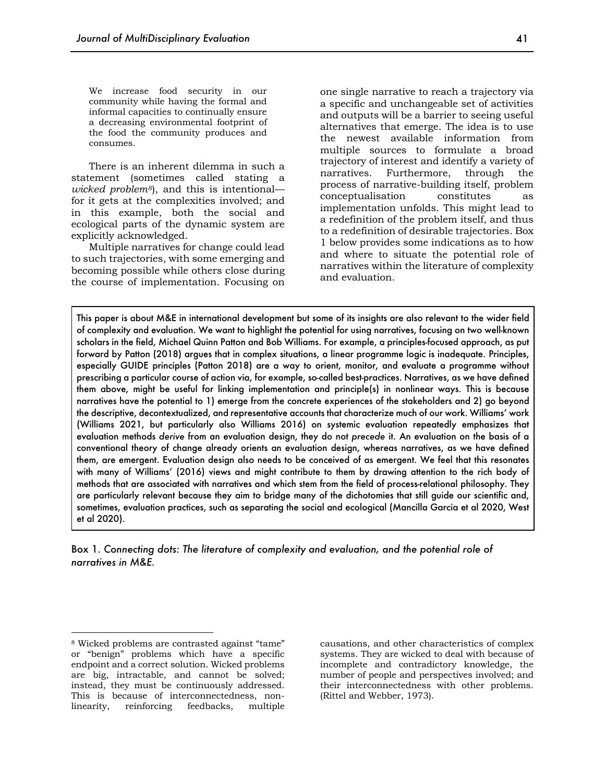We increase food security in our community while having the formal and informal capacities to continually ensure a decreasing environmental footprint of the food the community produces and consumes.

There is an inherent dilemma in such a statement (sometimes called stating a *wicked problem8*), and this is intentional for it gets at the complexities involved; and in this example, both the social and ecological parts of the dynamic system are explicitly acknowledged.

Multiple narratives for change could lead to such trajectories, with some emerging and becoming possible while others close during the course of implementation. Focusing on one single narrative to reach a trajectory via a specific and unchangeable set of activities and outputs will be a barrier to seeing useful alternatives that emerge. The idea is to use the newest available information from multiple sources to formulate a broad trajectory of interest and identify a variety of narratives. Furthermore, through the process of narrative-building itself, problem conceptualisation constitutes as implementation unfolds. This might lead to a redefinition of the problem itself, and thus to a redefinition of desirable trajectories. Box 1 below provides some indications as to how and where to situate the potential role of narratives within the literature of complexity and evaluation.

This paper is about M&E in international development but some of its insights are also relevant to the wider field of complexity and evaluation. We want to highlight the potential for using narratives, focusing on two well-known scholars in the field, Michael Quinn Patton and Bob Williams. For example, a principles-focused approach, as put forward by Patton (2018) argues that in complex situations, a linear programme logic is inadequate. Principles, especially GUIDE principles (Patton 2018) are a way to orient, monitor, and evaluate a programme without prescribing a particular course of action via, for example, so-called best-practices. Narratives, as we have defined them above, might be useful for linking implementation and principle(s) in nonlinear ways. This is because narratives have the potential to 1) emerge from the concrete experiences of the stakeholders and 2) go beyond the descriptive, decontextualized, and representative accounts that characterize much of our work. Williams' work (Williams 2021, but particularly also Williams 2016) on systemic evaluation repeatedly emphasizes that evaluation methods *derive* from an evaluation design, they do not *precede* it. An evaluation on the basis of a conventional theory of change already orients an evaluation design, whereas narratives, as we have defined them, are emergent. Evaluation design also needs to be conceived of as emergent. We feel that this resonates with many of Williams' (2016) views and might contribute to them by drawing attention to the rich body of methods that are associated with narratives and which stem from the field of process-relational philosophy. They are particularly relevant because they aim to bridge many of the dichotomies that still guide our scientific and, sometimes, evaluation practices, such as separating the social and ecological (Mancilla Garcia et al 2020, West et al 2020).

Box 1. *Connecting dots: The literature of complexity and evaluation, and the potential role of narratives in M&E.* 

causations, and other characteristics of complex systems. They are wicked to deal with because of incomplete and contradictory knowledge, the number of people and perspectives involved; and their interconnectedness with other problems. (Rittel and Webber, 1973).

<sup>8</sup> Wicked problems are contrasted against "tame" or "benign" problems which have a specific endpoint and a correct solution. Wicked problems are big, intractable, and cannot be solved; instead, they must be continuously addressed. This is because of interconnectedness, nonlinearity, reinforcing feedbacks, multiple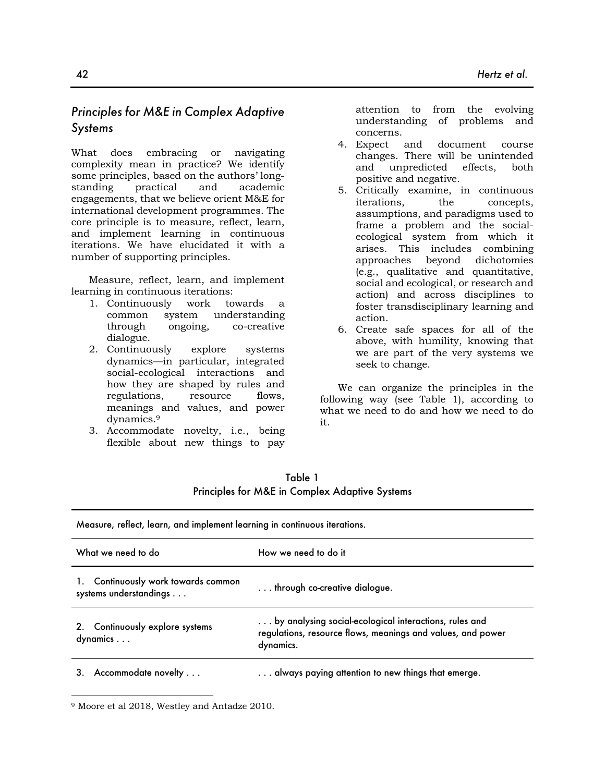## *Principles for M&E in Complex Adaptive Systems*

What does embracing or navigating complexity mean in practice? We identify some principles, based on the authors' longstanding practical and academic engagements, that we believe orient M&E for international development programmes. The core principle is to measure, reflect, learn, and implement learning in continuous iterations. We have elucidated it with a number of supporting principles.

Measure, reflect, learn, and implement learning in continuous iterations:

- 1. Continuously work towards a common system understanding through ongoing, co-creative dialogue.
- 2. Continuously explore systems dynamics—in particular, integrated social-ecological interactions and how they are shaped by rules and regulations, resource flows, meanings and values, and power dynamics.9
- 3. Accommodate novelty, i.e., being flexible about new things to pay

attention to from the evolving understanding of problems and concerns.

- 4. Expect and document course changes. There will be unintended and unpredicted effects, both positive and negative.
- 5. Critically examine, in continuous iterations, the concepts, assumptions, and paradigms used to frame a problem and the socialecological system from which it arises. This includes combining approaches beyond dichotomies (e.g., qualitative and quantitative, social and ecological, or research and action) and across disciplines to foster transdisciplinary learning and action.
- 6. Create safe spaces for all of the above, with humility, knowing that we are part of the very systems we seek to change.

We can organize the principles in the following way (see Table 1), according to what we need to do and how we need to do it.

| Measure, reflect, learn, and implement learning in continuous iterations. |                                                                                                                                    |  |
|---------------------------------------------------------------------------|------------------------------------------------------------------------------------------------------------------------------------|--|
| What we need to do                                                        | How we need to do it                                                                                                               |  |
| Continuously work towards common<br>systems understandings                | $\dots$ through co-creative dialogue.                                                                                              |  |
| 2. Continuously explore systems<br>dynamics                               | by analysing social-ecological interactions, rules and<br>regulations, resource flows, meanings and values, and power<br>dynamics. |  |
| Accommodate novelty<br>З.                                                 | always paying attention to new things that emerge.                                                                                 |  |

Table 1 Principles for M&E in Complex Adaptive Systems

<sup>9</sup> Moore et al 2018, Westley and Antadze 2010.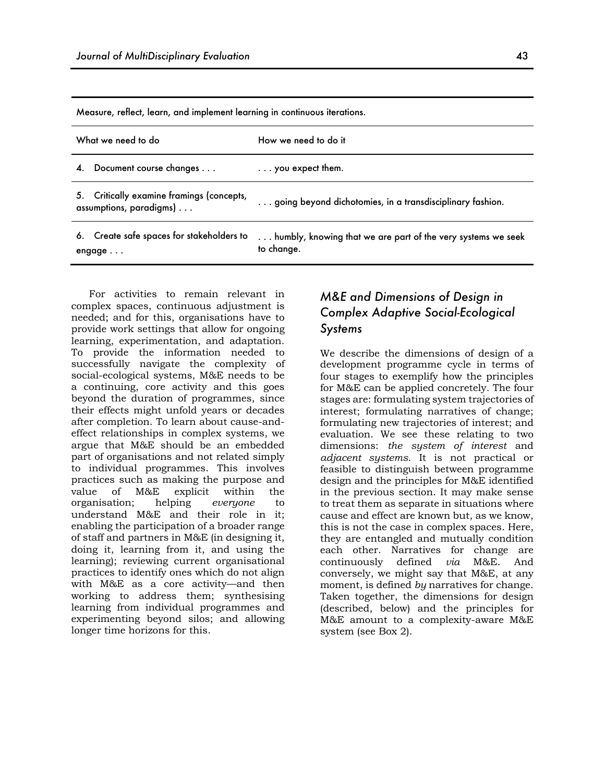Measure, reflect, learn, and implement learning in continuous iterations.

| What we need to do                                                      | How we need to do it                                                       |
|-------------------------------------------------------------------------|----------------------------------------------------------------------------|
| Document course changes<br>4.                                           | $\ldots$ you expect them.                                                  |
| Critically examine framings (concepts,<br>5.<br>assumptions, paradigms) | going beyond dichotomies, in a transdisciplinary fashion.                  |
| 6. Create safe spaces for stakeholders to<br>engage $\ldots$            | humbly, knowing that we are part of the very systems we seek<br>to change. |

For activities to remain relevant in complex spaces, continuous adjustment is needed; and for this, organisations have to provide work settings that allow for ongoing learning, experimentation, and adaptation. To provide the information needed to successfully navigate the complexity of social-ecological systems, M&E needs to be a continuing, core activity and this goes beyond the duration of programmes, since their effects might unfold years or decades after completion. To learn about cause-andeffect relationships in complex systems, we argue that M&E should be an embedded part of organisations and not related simply to individual programmes. This involves practices such as making the purpose and value of M&E explicit within the organisation; helping *everyone* to understand M&E and their role in it; enabling the participation of a broader range of staff and partners in M&E (in designing it, doing it, learning from it, and using the learning); reviewing current organisational practices to identify ones which do not align with M&E as a core activity—and then working to address them; synthesising learning from individual programmes and experimenting beyond silos; and allowing longer time horizons for this.

## *M&E and Dimensions of Design in Complex Adaptive Social-Ecological Systems*

We describe the dimensions of design of a development programme cycle in terms of four stages to exemplify how the principles for M&E can be applied concretely. The four stages are: formulating system trajectories of interest; formulating narratives of change; formulating new trajectories of interest; and evaluation. We see these relating to two dimensions: *the system of interest* and *adjacent systems*. It is not practical or feasible to distinguish between programme design and the principles for M&E identified in the previous section. It may make sense to treat them as separate in situations where cause and effect are known but, as we know, this is not the case in complex spaces. Here, they are entangled and mutually condition each other. Narratives for change are continuously defined *via* M&E. And conversely, we might say that M&E, at any moment, is defined *by* narratives for change. Taken together, the dimensions for design (described, below) and the principles for M&E amount to a complexity-aware M&E system (see Box 2).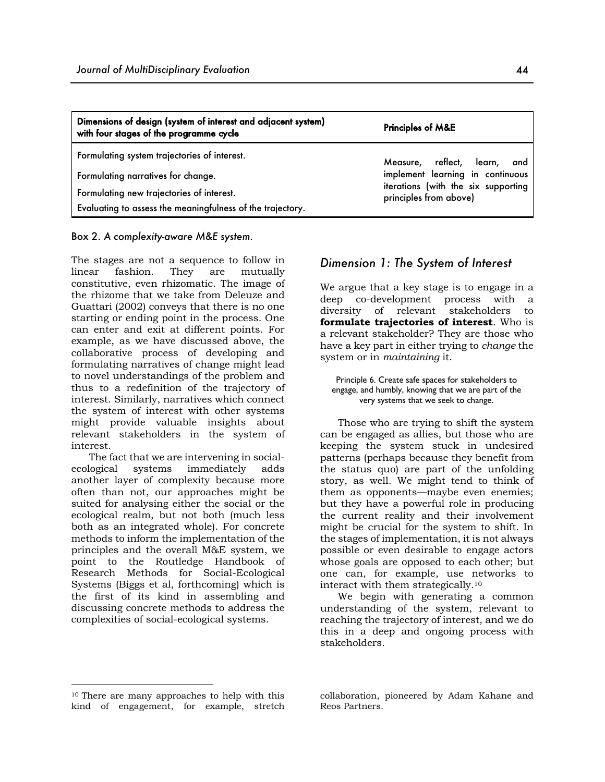| Dimensions of design (system of interest and adjacent system)<br>with four stages of the programme cycle | <b>Principles of M&amp;E</b>                                            |  |
|----------------------------------------------------------------------------------------------------------|-------------------------------------------------------------------------|--|
| Formulating system trajectories of interest.                                                             | Measure, reflect, learn,<br>and                                         |  |
| Formulating narratives for change.                                                                       | implement learning in continuous<br>iterations (with the six supporting |  |
| Formulating new trajectories of interest.<br>Evaluating to assess the meaningfulness of the trajectory.  | principles from above)                                                  |  |

Box 2. *A complexity-aware M&E system.*

The stages are not a sequence to follow in linear fashion. They are mutually constitutive, even rhizomatic. The image of the rhizome that we take from Deleuze and Guattari (2002) conveys that there is no one starting or ending point in the process. One can enter and exit at different points. For example, as we have discussed above, the collaborative process of developing and formulating narratives of change might lead to novel understandings of the problem and thus to a redefinition of the trajectory of interest. Similarly, narratives which connect the system of interest with other systems might provide valuable insights about relevant stakeholders in the system of interest.

The fact that we are intervening in socialecological systems immediately adds another layer of complexity because more often than not, our approaches might be suited for analysing either the social or the ecological realm, but not both (much less both as an integrated whole). For concrete methods to inform the implementation of the principles and the overall M&E system, we point to the Routledge Handbook of Research Methods for Social-Ecological Systems (Biggs et al, forthcoming) which is the first of its kind in assembling and discussing concrete methods to address the complexities of social-ecological systems.

#### *Dimension 1: The System of Interest*

We argue that a key stage is to engage in a deep co-development process with a diversity of relevant stakeholders to **formulate trajectories of interest**. Who is a relevant stakeholder? They are those who have a key part in either trying to *change* the system or in *maintaining* it.

Principle 6. Create safe spaces for stakeholders to engage, and humbly, knowing that we are part of the very systems that we seek to change.

Those who are trying to shift the system can be engaged as allies, but those who are keeping the system stuck in undesired patterns (perhaps because they benefit from the status quo) are part of the unfolding story, as well. We might tend to think of them as opponents—maybe even enemies; but they have a powerful role in producing the current reality and their involvement might be crucial for the system to shift. In the stages of implementation, it is not always possible or even desirable to engage actors whose goals are opposed to each other; but one can, for example, use networks to interact with them strategically.10

We begin with generating a common understanding of the system, relevant to reaching the trajectory of interest, and we do this in a deep and ongoing process with stakeholders.

collaboration, pioneered by Adam Kahane and Reos Partners.

<sup>10</sup> There are many approaches to help with this kind of engagement, for example, stretch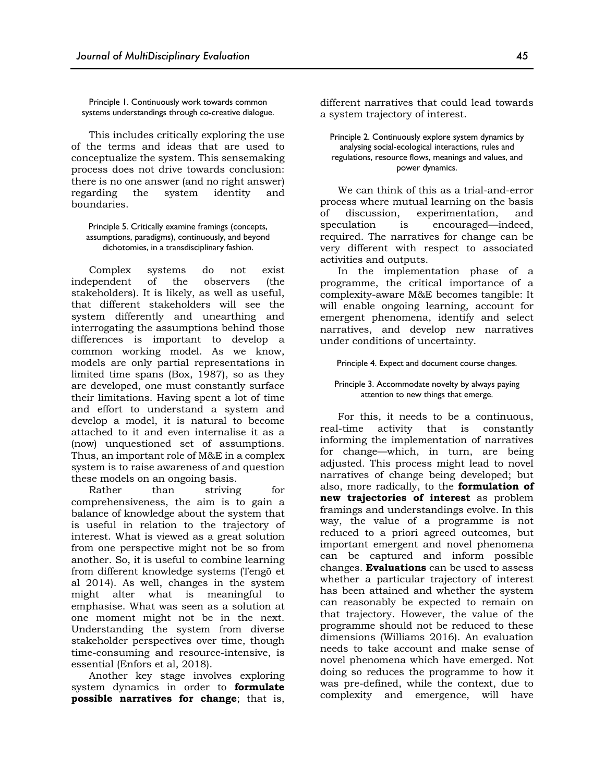Principle 1. Continuously work towards common systems understandings through co-creative dialogue.

This includes critically exploring the use of the terms and ideas that are used to conceptualize the system. This sensemaking process does not drive towards conclusion: there is no one answer (and no right answer) regarding the system identity and boundaries.

Principle 5. Critically examine framings (concepts, assumptions, paradigms), continuously, and beyond dichotomies, in a transdisciplinary fashion.

Complex systems do not exist independent of the observers (the stakeholders). It is likely, as well as useful, that different stakeholders will see the system differently and unearthing and interrogating the assumptions behind those differences is important to develop a common working model. As we know, models are only partial representations in limited time spans (Box, 1987), so as they are developed, one must constantly surface their limitations. Having spent a lot of time and effort to understand a system and develop a model, it is natural to become attached to it and even internalise it as a (now) unquestioned set of assumptions. Thus, an important role of M&E in a complex system is to raise awareness of and question these models on an ongoing basis.

Rather than striving for comprehensiveness, the aim is to gain a balance of knowledge about the system that is useful in relation to the trajectory of interest. What is viewed as a great solution from one perspective might not be so from another. So, it is useful to combine learning from different knowledge systems (Tengö et al 2014). As well, changes in the system might alter what is meaningful to emphasise. What was seen as a solution at one moment might not be in the next. Understanding the system from diverse stakeholder perspectives over time, though time-consuming and resource-intensive, is essential (Enfors et al, 2018).

Another key stage involves exploring system dynamics in order to **formulate possible narratives for change**; that is,

different narratives that could lead towards a system trajectory of interest.

Principle 2. Continuously explore system dynamics by analysing social-ecological interactions, rules and regulations, resource flows, meanings and values, and power dynamics.

We can think of this as a trial-and-error process where mutual learning on the basis of discussion, experimentation, and speculation is encouraged—indeed, required. The narratives for change can be very different with respect to associated activities and outputs.

In the implementation phase of a programme, the critical importance of a complexity-aware M&E becomes tangible: It will enable ongoing learning, account for emergent phenomena, identify and select narratives, and develop new narratives under conditions of uncertainty.

#### Principle 4. Expect and document course changes.

#### Principle 3. Accommodate novelty by always paying attention to new things that emerge.

For this, it needs to be a continuous, real-time activity that is constantly informing the implementation of narratives for change—which, in turn, are being adjusted. This process might lead to novel narratives of change being developed; but also, more radically, to the **formulation of new trajectories of interest** as problem framings and understandings evolve. In this way, the value of a programme is not reduced to a priori agreed outcomes, but important emergent and novel phenomena can be captured and inform possible changes. **Evaluations** can be used to assess whether a particular trajectory of interest has been attained and whether the system can reasonably be expected to remain on that trajectory. However, the value of the programme should not be reduced to these dimensions (Williams 2016). An evaluation needs to take account and make sense of novel phenomena which have emerged. Not doing so reduces the programme to how it was pre-defined, while the context, due to complexity and emergence, will have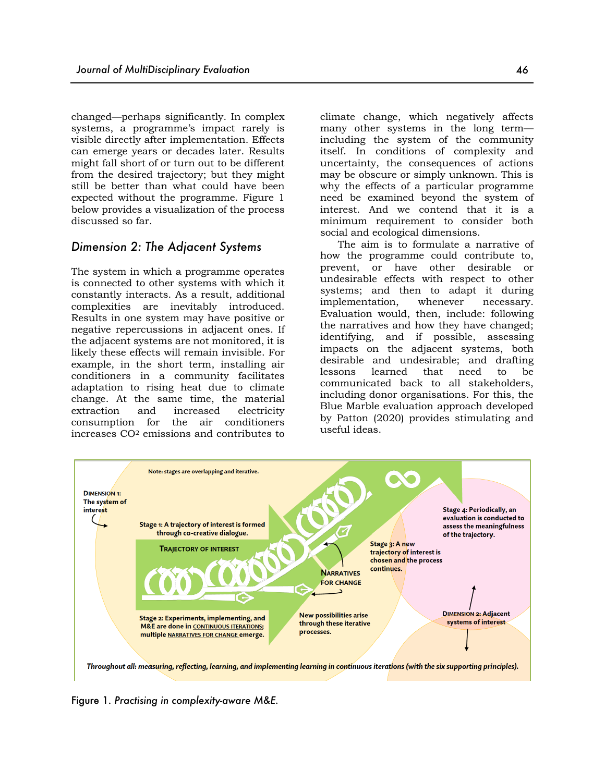changed—perhaps significantly. In complex systems, a programme's impact rarely is visible directly after implementation. Effects can emerge years or decades later. Results might fall short of or turn out to be different from the desired trajectory; but they might still be better than what could have been expected without the programme. Figure 1 below provides a visualization of the process discussed so far.

#### *Dimension 2: The Adjacent Systems*

The system in which a programme operates is connected to other systems with which it constantly interacts. As a result, additional complexities are inevitably introduced. Results in one system may have positive or negative repercussions in adjacent ones. If the adjacent systems are not monitored, it is likely these effects will remain invisible. For example, in the short term, installing air conditioners in a community facilitates adaptation to rising heat due to climate change. At the same time, the material extraction and increased electricity consumption for the air conditioners increases CO2 emissions and contributes to

climate change, which negatively affects many other systems in the long term including the system of the community itself. In conditions of complexity and uncertainty, the consequences of actions may be obscure or simply unknown. This is why the effects of a particular programme need be examined beyond the system of interest. And we contend that it is a minimum requirement to consider both social and ecological dimensions.

The aim is to formulate a narrative of how the programme could contribute to, prevent, or have other desirable or undesirable effects with respect to other systems; and then to adapt it during implementation, whenever necessary. Evaluation would, then, include: following the narratives and how they have changed; identifying, and if possible, assessing impacts on the adjacent systems, both desirable and undesirable; and drafting lessons learned that need to be communicated back to all stakeholders, including donor organisations. For this, the Blue Marble evaluation approach developed by Patton (2020) provides stimulating and useful ideas.



Figure 1. *Practising in complexity-aware M&E.*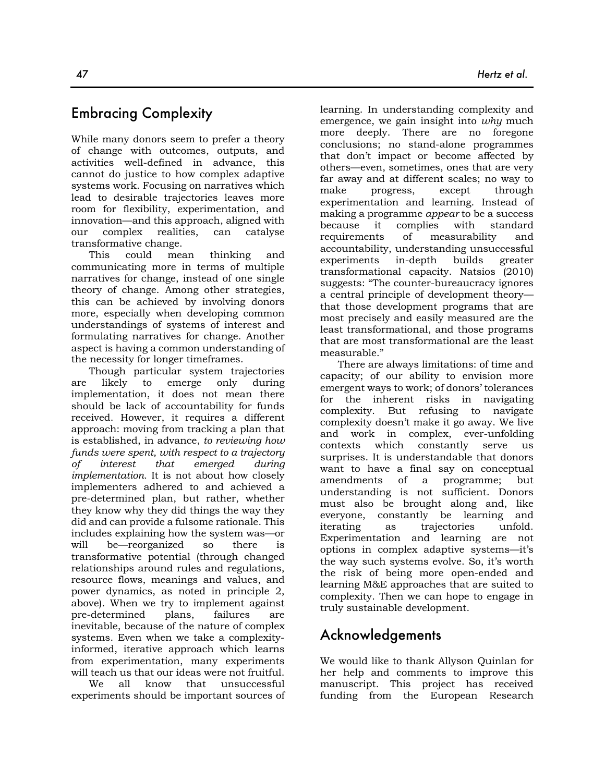## Embracing Complexity

While many donors seem to prefer a theory of change with outcomes, outputs, and activities well-defined in advance, this cannot do justice to how complex adaptive systems work. Focusing on narratives which lead to desirable trajectories leaves more room for flexibility, experimentation, and innovation—and this approach, aligned with our complex realities, can catalyse transformative change.

This could mean thinking and communicating more in terms of multiple narratives for change, instead of one single theory of change. Among other strategies, this can be achieved by involving donors more, especially when developing common understandings of systems of interest and formulating narratives for change. Another aspect is having a common understanding of the necessity for longer timeframes.

Though particular system trajectories are likely to emerge only during implementation, it does not mean there should be lack of accountability for funds received. However, it requires a different approach: moving from tracking a plan that is established, in advance, *to reviewing how funds were spent, with respect to a trajectory of interest that emerged during implementation.* It is not about how closely implementers adhered to and achieved a pre-determined plan, but rather, whether they know why they did things the way they did and can provide a fulsome rationale. This includes explaining how the system was—or will be—reorganized so there is transformative potential (through changed relationships around rules and regulations, resource flows, meanings and values, and power dynamics, as noted in principle 2, above). When we try to implement against pre-determined plans, failures are inevitable, because of the nature of complex systems. Even when we take a complexityinformed, iterative approach which learns from experimentation, many experiments will teach us that our ideas were not fruitful.

We all know that unsuccessful experiments should be important sources of learning. In understanding complexity and emergence, we gain insight into *why* much more deeply. There are no foregone conclusions; no stand-alone programmes that don't impact or become affected by others—even, sometimes, ones that are very far away and at different scales; no way to make progress, except through experimentation and learning. Instead of making a programme *appear* to be a success because it complies with standard requirements of measurability and accountability, understanding unsuccessful experiments in-depth builds greater transformational capacity. Natsios (2010) suggests: "The counter-bureaucracy ignores a central principle of development theory that those development programs that are most precisely and easily measured are the least transformational, and those programs that are most transformational are the least measurable."

There are always limitations: of time and capacity; of our ability to envision more emergent ways to work; of donors' tolerances for the inherent risks in navigating complexity. But refusing to navigate complexity doesn't make it go away. We live and work in complex, ever-unfolding contexts which constantly serve us surprises. It is understandable that donors want to have a final say on conceptual amendments of a programme; but understanding is not sufficient. Donors must also be brought along and, like everyone, constantly be learning and iterating as trajectories unfold. Experimentation and learning are not options in complex adaptive systems—it's the way such systems evolve. So, it's worth the risk of being more open-ended and learning M&E approaches that are suited to complexity. Then we can hope to engage in truly sustainable development.

# Acknowledgements

We would like to thank Allyson Quinlan for her help and comments to improve this manuscript. This project has received funding from the European Research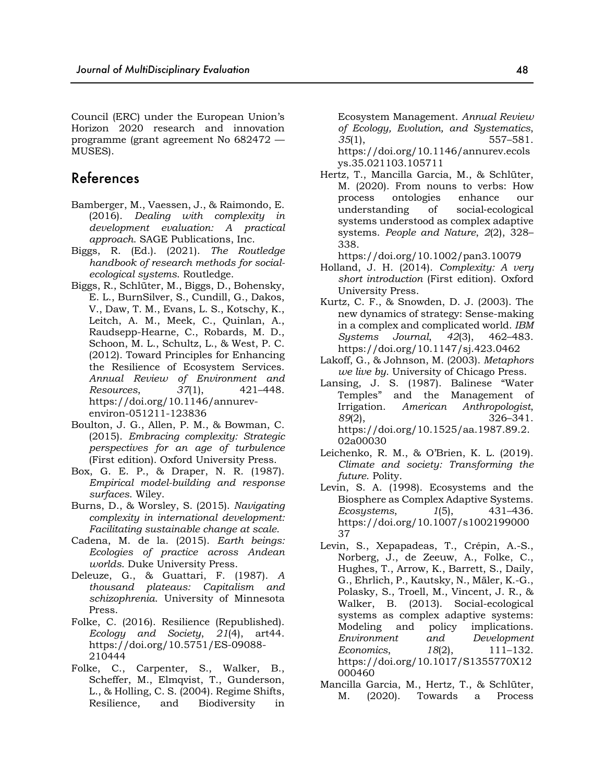Council (ERC) under the European Union's Horizon 2020 research and innovation programme (grant agreement No 682472 — MUSES).

## References

- Bamberger, M., Vaessen, J., & Raimondo, E. (2016). *Dealing with complexity in development evaluation: A practical approach*. SAGE Publications, Inc.
- Biggs, R. (Ed.). (2021). *The Routledge handbook of research methods for socialecological systems*. Routledge.
- Biggs, R., Schlüter, M., Biggs, D., Bohensky, E. L., BurnSilver, S., Cundill, G., Dakos, V., Daw, T. M., Evans, L. S., Kotschy, K., Leitch, A. M., Meek, C., Quinlan, A., Raudsepp-Hearne, C., Robards, M. D., Schoon, M. L., Schultz, L., & West, P. C. (2012). Toward Principles for Enhancing the Resilience of Ecosystem Services. *Annual Review of Environment and Resources*, *37*(1), 421–448. https://doi.org/10.1146/annurevenviron-051211-123836
- Boulton, J. G., Allen, P. M., & Bowman, C. (2015). *Embracing complexity: Strategic perspectives for an age of turbulence* (First edition). Oxford University Press.
- Box, G. E. P., & Draper, N. R. (1987). *Empirical model-building and response surfaces*. Wiley.
- Burns, D., & Worsley, S. (2015). *Navigating complexity in international development: Facilitating sustainable change at scale*.
- Cadena, M. de la. (2015). *Earth beings: Ecologies of practice across Andean worlds*. Duke University Press.
- Deleuze, G., & Guattari, F. (1987). *A thousand plateaus: Capitalism and schizophrenia*. University of Minnesota Press.
- Folke, C. (2016). Resilience (Republished). *Ecology and Society*, *21*(4), art44. https://doi.org/10.5751/ES-09088- 210444
- Folke, C., Carpenter, S., Walker, B., Scheffer, M., Elmqvist, T., Gunderson, L., & Holling, C. S. (2004). Regime Shifts, Resilience, and Biodiversity in

Ecosystem Management. *Annual Review of Ecology, Evolution, and Systematics*, *35*(1), 557–581. https://doi.org/10.1146/annurev.ecols

ys.35.021103.105711 Hertz, T., Mancilla Garcia, M., & Schlüter, M. (2020). From nouns to verbs: How process ontologies enhance our understanding of social-ecological systems understood as complex adaptive systems. *People and Nature*, *2*(2), 328– 338.

https://doi.org/10.1002/pan3.10079

- Holland, J. H. (2014). *Complexity: A very short introduction* (First edition). Oxford University Press.
- Kurtz, C. F., & Snowden, D. J. (2003). The new dynamics of strategy: Sense-making in a complex and complicated world. *IBM Systems Journal*, *42*(3), 462–483. https://doi.org/10.1147/sj.423.0462
- Lakoff, G., & Johnson, M. (2003). *Metaphors we live by*. University of Chicago Press.
- Lansing, J. S. (1987). Balinese "Water Temples" and the Management of Irrigation. *American Anthropologist*, *89*(2), 326–341. https://doi.org/10.1525/aa.1987.89.2. 02a00030
- Leichenko, R. M., & O'Brien, K. L. (2019). *Climate and society: Transforming the future*. Polity.
- Levin, S. A. (1998). Ecosystems and the Biosphere as Complex Adaptive Systems. *Ecosystems*, *1*(5), 431–436. https://doi.org/10.1007/s1002199000 37
- Levin, S., Xepapadeas, T., Crépin, A.-S., Norberg, J., de Zeeuw, A., Folke, C., Hughes, T., Arrow, K., Barrett, S., Daily, G., Ehrlich, P., Kautsky, N., Mäler, K.-G., Polasky, S., Troell, M., Vincent, J. R., & Walker, B. (2013). Social-ecological systems as complex adaptive systems: Modeling and policy implications. *Environment and Development Economics*, *18*(2), 111–132. https://doi.org/10.1017/S1355770X12 000460
- Mancilla Garcia, M., Hertz, T., & Schlüter, M. (2020). Towards a Process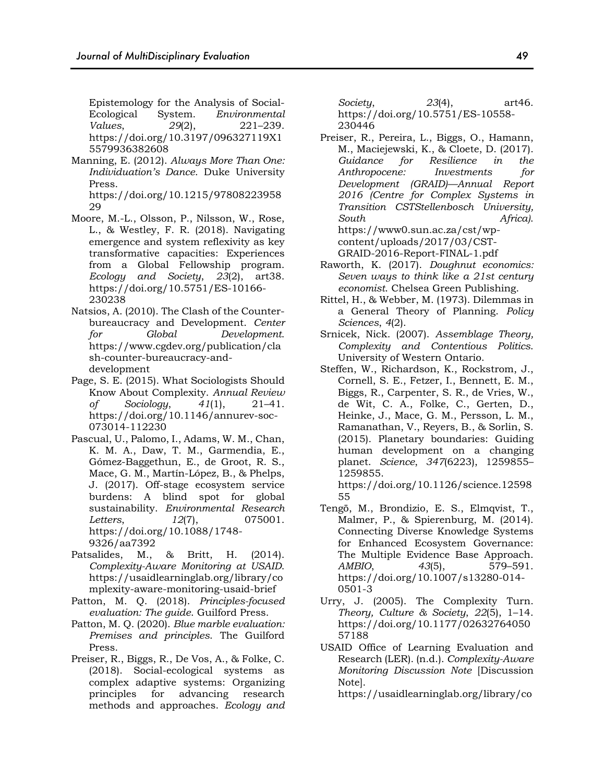Epistemology for the Analysis of Social-Ecological System. *Environmental Values*, *29*(2), 221–239. https://doi.org/10.3197/096327119X1 5579936382608

Manning, E. (2012). *Always More Than One: Individuation's Dance*. Duke University Press.

https://doi.org/10.1215/97808223958 29

- Moore, M.-L., Olsson, P., Nilsson, W., Rose, L., & Westley, F. R. (2018). Navigating emergence and system reflexivity as key transformative capacities: Experiences from a Global Fellowship program. *Ecology and Society*, *23*(2), art38. https://doi.org/10.5751/ES-10166- 230238
- Natsios, A. (2010). The Clash of the Counterbureaucracy and Development. *Center for Global Development*. https://www.cgdev.org/publication/cla sh-counter-bureaucracy-anddevelopment
- Page, S. E. (2015). What Sociologists Should Know About Complexity. *Annual Review of Sociology*, *41*(1), 21–41. https://doi.org/10.1146/annurev-soc-073014-112230
- Pascual, U., Palomo, I., Adams, W. M., Chan, K. M. A., Daw, T. M., Garmendia, E., Gómez-Baggethun, E., de Groot, R. S., Mace, G. M., Martín-López, B., & Phelps, J. (2017). Off-stage ecosystem service burdens: A blind spot for global sustainability. *Environmental Research Letters*, *12*(7), 075001. https://doi.org/10.1088/1748- 9326/aa7392
- Patsalides, M., & Britt, H. (2014). *Complexity-Aware Monitoring at USAID*. https://usaidlearninglab.org/library/co mplexity-aware-monitoring-usaid-brief
- Patton, M. Q. (2018). *Principles-focused evaluation: The guide*. Guilford Press.
- Patton, M. Q. (2020). *Blue marble evaluation: Premises and principles*. The Guilford Press.
- Preiser, R., Biggs, R., De Vos, A., & Folke, C. (2018). Social-ecological systems as complex adaptive systems: Organizing principles for advancing research methods and approaches. *Ecology and*

*Society*, *23*(4), art46. https://doi.org/10.5751/ES-10558- 230446

- Preiser, R., Pereira, L., Biggs, O., Hamann, M., Maciejewski, K., & Cloete, D. (2017). *Guidance for Resilience in the Anthropocene: Investments for Development (GRAID)—Annual Report 2016 (Centre for Complex Systems in Transition CSTStellenbosch University, South Africa)*. https://www0.sun.ac.za/cst/wpcontent/uploads/2017/03/CST-GRAID-2016-Report-FINAL-1.pdf
- Raworth, K. (2017). *Doughnut economics: Seven ways to think like a 21st century economist*. Chelsea Green Publishing.
- Rittel, H., & Webber, M. (1973). Dilemmas in a General Theory of Planning. *Policy Sciences*, *4*(2).
- Srnicek, Nick. (2007). *Assemblage Theory, Complexity and Contentious Politics*. University of Western Ontario.
- Steffen, W., Richardson, K., Rockstrom, J., Cornell, S. E., Fetzer, I., Bennett, E. M., Biggs, R., Carpenter, S. R., de Vries, W., de Wit, C. A., Folke, C., Gerten, D., Heinke, J., Mace, G. M., Persson, L. M., Ramanathan, V., Reyers, B., & Sorlin, S. (2015). Planetary boundaries: Guiding human development on a changing planet. *Science*, *347*(6223), 1259855– 1259855.

https://doi.org/10.1126/science.12598 55

- Tengö, M., Brondizio, E. S., Elmqvist, T., Malmer, P., & Spierenburg, M. (2014). Connecting Diverse Knowledge Systems for Enhanced Ecosystem Governance: The Multiple Evidence Base Approach. *AMBIO*, *43*(5), 579–591. https://doi.org/10.1007/s13280-014- 0501-3
- Urry, J. (2005). The Complexity Turn. *Theory, Culture & Society*, *22*(5), 1–14. https://doi.org/10.1177/02632764050 57188
- USAID Office of Learning Evaluation and Research (LER). (n.d.). *Complexity-Aware Monitoring Discussion Note* [Discussion Note].

https://usaidlearninglab.org/library/co